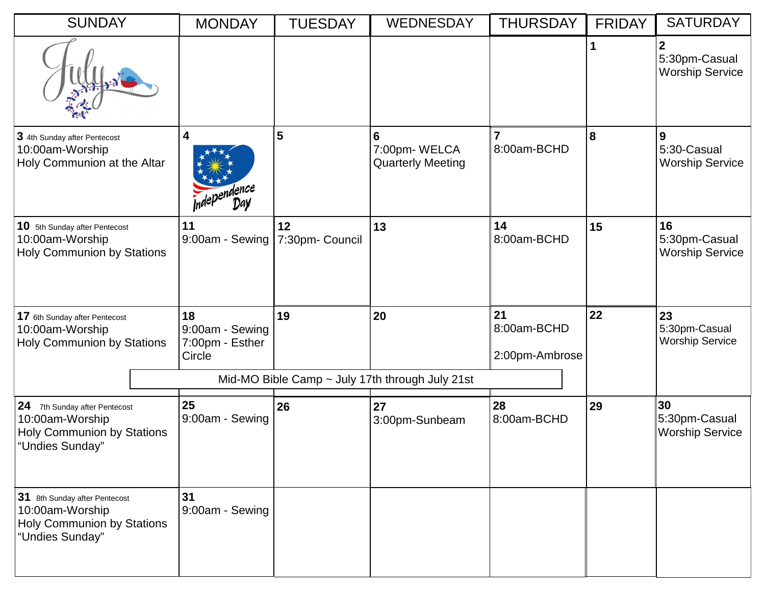| <b>SUNDAY</b>                                                                                            | <b>MONDAY</b>                                      | <b>TUESDAY</b>        | <b>WEDNESDAY</b>                              | <b>THURSDAY</b>                     | <b>FRIDAY</b> | <b>SATURDAY</b>                                           |
|----------------------------------------------------------------------------------------------------------|----------------------------------------------------|-----------------------|-----------------------------------------------|-------------------------------------|---------------|-----------------------------------------------------------|
|                                                                                                          |                                                    |                       |                                               |                                     | $\mathbf{1}$  | $\overline{2}$<br>5:30pm-Casual<br><b>Worship Service</b> |
| 3 4th Sunday after Pentecost<br>10:00am-Worship<br>Holy Communion at the Altar                           | 4<br><b>Independence</b>                           | 5                     | 6<br>7:00pm-WELCA<br><b>Quarterly Meeting</b> | 7<br>8:00am-BCHD                    | 8             | 9<br>5:30-Casual<br><b>Worship Service</b>                |
| 10 5th Sunday after Pentecost<br>10:00am-Worship<br><b>Holy Communion by Stations</b>                    | 11<br>9:00am - Sewing                              | 12<br>7:30pm- Council | 13                                            | 14<br>8:00am-BCHD                   | 15            | 16<br>5:30pm-Casual<br><b>Worship Service</b>             |
| 17 6th Sunday after Pentecost<br>10:00am-Worship<br><b>Holy Communion by Stations</b>                    | 18<br>9:00am - Sewing<br>7:00pm - Esther<br>Circle | 19                    | 20                                            | 21<br>8:00am-BCHD<br>2:00pm-Ambrose | 22            | 23<br>5:30pm-Casual<br><b>Worship Service</b>             |
| Mid-MO Bible Camp $\sim$ July 17th through July 21st                                                     |                                                    |                       |                                               |                                     |               |                                                           |
| 24 7th Sunday after Pentecost<br>10:00am-Worship<br><b>Holy Communion by Stations</b><br>"Undies Sunday" | 25<br>9:00am - Sewing                              | 26                    | 27<br>3:00pm-Sunbeam                          | 28<br>8:00am-BCHD                   | 29            | 30<br>5:30pm-Casual<br><b>Worship Service</b>             |
| 31 8th Sunday after Pentecost<br>10:00am-Worship<br><b>Holy Communion by Stations</b><br>"Undies Sunday" | 31<br>9:00am - Sewing                              |                       |                                               |                                     |               |                                                           |